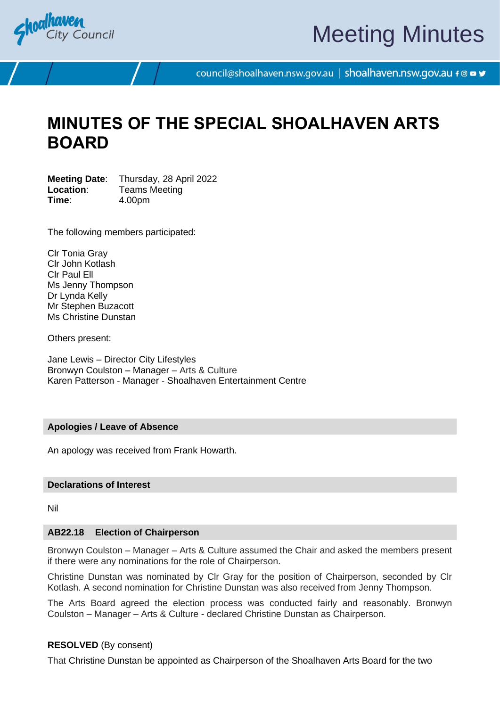

# Meeting Minutes

council@shoalhaven.nsw.gov.au | shoalhaven.nsw.gov.au f @ ■ y

# **MINUTES OF THE SPECIAL SHOALHAVEN ARTS BOARD**

**Meeting Date**: Thursday, 28 April 2022 **Location:** Teams Meeting **Time**: 4.00pm

The following members participated:

Clr Tonia Gray Clr John Kotlash Clr Paul Ell Ms Jenny Thompson Dr Lynda Kelly Mr Stephen Buzacott Ms Christine Dunstan

Others present:

Jane Lewis – Director City Lifestyles Bronwyn Coulston – Manager – Arts & Culture Karen Patterson - Manager - Shoalhaven Entertainment Centre

# **Apologies / Leave of Absence**

An apology was received from Frank Howarth.

# **Declarations of Interest**

Nil

# **AB22.18 Election of Chairperson**

Bronwyn Coulston – Manager – Arts & Culture assumed the Chair and asked the members present if there were any nominations for the role of Chairperson.

Christine Dunstan was nominated by Clr Gray for the position of Chairperson, seconded by Clr Kotlash. A second nomination for Christine Dunstan was also received from Jenny Thompson.

The Arts Board agreed the election process was conducted fairly and reasonably. Bronwyn Coulston – Manager – Arts & Culture - declared Christine Dunstan as Chairperson.

# **RESOLVED** (By consent)

That Christine Dunstan be appointed as Chairperson of the Shoalhaven Arts Board for the two